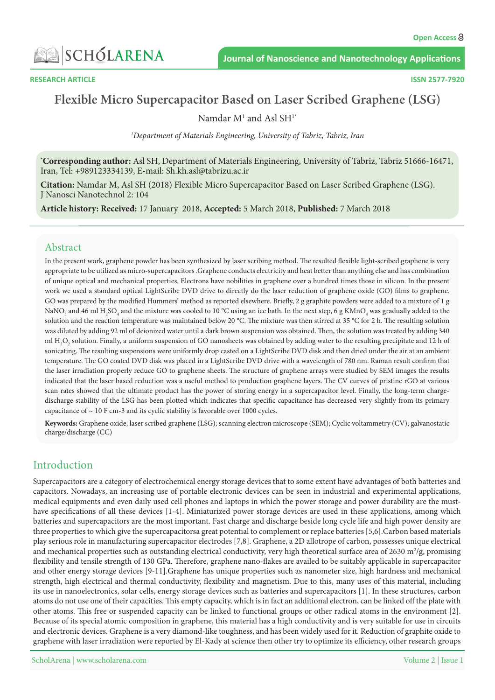

# **Flexible Micro Supercapacitor Based on Laser Scribed Graphene (LSG)**

Namdar  $M<sup>1</sup>$  and Asl SH<sup>1\*</sup>

<sup>1</sup>Department of Materials Engineering, University of Tabriz, Tabriz, Iran

\*Corresponding author: Asl SH, Department of Materials Engineering, University of Tabriz, Tabriz 51666-16471, Iran, Tel: +989123334139, E-mail: Sh.kh.asl@tabrizu.ac.ir

Citation: Namdar M, Asl SH (2018) Flexible Micro Supercapacitor Based on Laser Scribed Graphene (LSG). J Nanosci Nanotechnol 2: 104

Article history: Received: 17 January 2018, Accepted: 5 March 2018, Published: 7 March 2018

#### Abstract

In the present work, graphene powder has been synthesized by laser scribing method. The resulted flexible light-scribed graphene is very appropriate to be utilized as micro-supercapacitors. Graphene conducts electricity and heat better than anything else and has combination of unique optical and mechanical properties. Electrons have nobilities in graphene over a hundred times those in silicon. In the present work we used a standard optical LightScribe DVD drive to directly do the laser reduction of graphene oxide (GO) films to graphene. GO was prepared by the modified Hummers' method as reported elsewhere. Briefly, 2 g graphite powders were added to a mixture of 1 g NaNO<sub>3</sub> and 46 ml H<sub>2</sub>SO<sub>4</sub> and the mixture was cooled to 10 °C using an ice bath. In the next step, 6 g KMnO<sub>4</sub> was gradually added to the solution and the reaction temperature was maintained below 20 °C. The mixture was then stirred at 35 °C for 2 h. The resulting solution was diluted by adding 92 ml of deionized water until a dark brown suspension was obtained. Then, the solution was treated by adding 340 ml  $\rm H_2O_2$  solution. Finally, a uniform suspension of GO nanosheets was obtained by adding water to the resulting precipitate and 12 h of sonicating. The resulting suspensions were uniformly drop casted on a LightScribe DVD disk and then dried under the air at an ambient temperature. The GO coated DVD disk was placed in a LightScribe DVD drive with a wavelength of 780 nm. Raman result confirm that the laser irradiation properly reduce GO to graphene sheets. The structure of graphene arrays were studied by SEM images the results indicated that the laser based reduction was a useful method to production graphene layers. The CV curves of pristine rGO at various discharge stability of the LSG has been plotted which indicates that specific capacitance has decreased very slightly from its primary scan rates showed that the ultimate product has the power of storing energy in a supercapacitor level. Finally, the long-term chargecapacitance of  $\sim 10$  F cm-3 and its cyclic stability is favorable over 1000 cycles.

Keywords: Graphene oxide; laser scribed graphene (LSG); scanning electron microscope (SEM); Cyclic voltammetry (CV); galvanostatic charge/discharge (CC)

### Introduction

Supercapacitors are a category of electrochemical energy storage devices that to some extent have advantages of both batteries and capacitors. Nowadays, an increasing use of portable electronic devices can be seen in industrial and experimental applications, have specifications of all these devices [1-4]. Miniaturized power storage devices are used in these applications, among which medical equipments and even daily used cell phones and laptops in which the power storage and power durability are the mustbatteries and supercapacitors are the most important. Fast charge and discharge beside long cycle life and high power density are three properties to which give the supercapacitorsa great potential to complement or replace batteries [5,6]. Carbon based materials play serious role in manufacturing supercapacitor electrodes [7,8]. Graphene, a 2D allotrope of carbon, possesses unique electrical and mechanical properties such as outstanding electrical conductivity, very high theoretical surface area of 2630 m²/g, promising flexibility and tensile strength of 130 GPa. Therefore, graphene nano-flakes are availed to be suitably applicable in supercapacitor and other energy storage devices [9-11]. Graphene has unique properties such as nanometer size, high hardness and mechanical strength, high electrical and thermal conductivity, flexibility and magnetism. Due to this, many uses of this material, including its use in nanoelectronics, solar cells, energy storage devices such as batteries and supercapacitors [1]. In these structures, carbon atoms do not use one of their capacities. This empty capacity, which is in fact an additional electron, can be linked off the plate with other atoms. This free or suspended capacity can be linked to functional groups or other radical atoms in the environment [2]. Because of its special atomic composition in graphene, this material has a high conductivity and is very suitable for use in circuits and electronic devices. Graphene is a very diamond-like toughness, and has been widely used for it. Reduction of graphite oxide to graphene with laser irradiation were reported by El-Kady at science then other try to optimize its efficiency, other research groups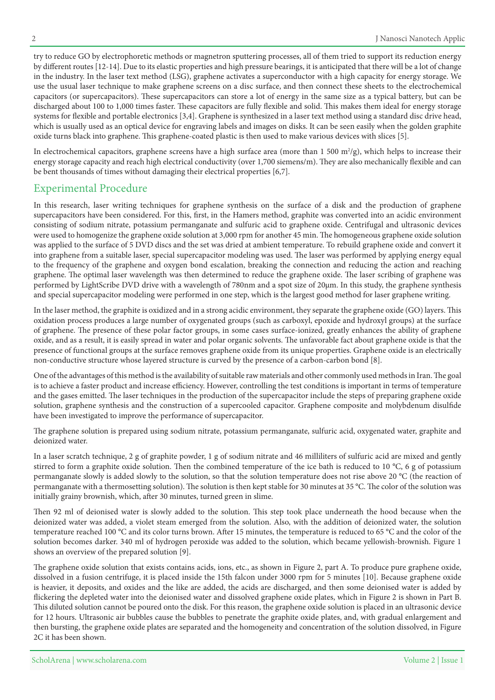try to reduce GO by electrophoretic methods or magnetron sputtering processes, all of them tried to support its reduction energy by different routes [12-14]. Due to its elastic properties and high pressure bearings, it is anticipated that there will be a lot of change in the industry. In the laser text method (LSG), graphene activates a superconductor with a high capacity for energy storage. We use the usual laser technique to make graphene screens on a disc surface, and then connect these sheets to the electrochemical capacitors (or supercapacitors). These supercapacitors can store a lot of energy in the same size as a typical battery, but can be discharged about 100 to 1,000 times faster. These capacitors are fully flexible and solid. This makes them ideal for energy storage systems for flexible and portable electronics [3,4]. Graphene is synthesized in a laser text method using a standard disc drive head, which is usually used as an optical device for engraving labels and images on disks. It can be seen easily when the golden graphite oxide turns black into graphene. This graphene-coated plastic is then used to make various devices with slices [5].

In electrochemical capacitors, graphene screens have a high surface area (more than  $1\,500\,\mathrm{m^2/g}$ ), which helps to increase their energy storage capacity and reach high electrical conductivity (over 1,700 siemens/m). They are also mechanically flexible and can be bent thousands of times without damaging their electrical properties [6,7].

#### **Experimental Procedure**

In this research, laser writing techniques for graphene synthesis on the surface of a disk and the production of graphene supercapacitors have been considered. For this, first, in the Hamers method, graphite was converted into an acidic environment consisting of sodium nitrate, potassium permanganate and sulfuric acid to graphene oxide. Centrifugal and ultrasonic devices were used to homogenize the graphene oxide solution at 3,000 rpm for another 45 min. The homogeneous graphene oxide solution was applied to the surface of 5 DVD discs and the set was dried at ambient temperature. To rebuild graphene oxide and convert it into graphene from a suitable laser, special supercapacitor modeling was used. The laser was performed by applying energy equal to the frequency of the graphene and oxygen bond escalation, breaking the connection and reducing the action and reaching graphene. The optimal laser wavelength was then determined to reduce the graphene oxide. The laser scribing of graphene was performed by LightScribe DVD drive with a wavelength of 780nm and a spot size of 20μm. In this study, the graphene synthesis and special supercapacitor modeling were performed in one step, which is the largest good method for laser graphene writing.

In the laser method, the graphite is oxidized and in a strong acidic environment, they separate the graphene oxide (GO) layers. This oxidation process produces a large number of oxygenated groups (such as carboxyl, epoxide and hydroxyl groups) at the surface of graphene. The presence of these polar factor groups, in some cases surface-ionized, greatly enhances the ability of graphene oxide, and as a result, it is easily spread in water and polar organic solvents. The unfavorable fact about graphene oxide is that the presence of functional groups at the surface removes graphene oxide from its unique properties. Graphene oxide is an electrically non-conductive structure whose layered structure is curved by the presence of a carbon-carbon bond [8].

One of the advantages of this method is the availability of suitable raw materials and other commonly used methods in Iran. The goal is to achieve a faster product and increase efficiency. However, controlling the test conditions is important in terms of temperature and the gases emitted. The laser techniques in the production of the supercapacitor include the steps of preparing graphene oxide solution, graphene synthesis and the construction of a supercooled capacitor. Graphene composite and molybdenum disulfide have been investigated to improve the performance of supercapacitor.

The graphene solution is prepared using sodium nitrate, potassium permanganate, sulfuric acid, oxygenated water, graphite and deionized water.

In a laser scratch technique, 2 g of graphite powder, 1 g of sodium nitrate and 46 milliliters of sulfuric acid are mixed and gently stirred to form a graphite oxide solution. Then the combined temperature of the ice bath is reduced to 10 °C, 6 g of potassium permanganate slowly is added slowly to the solution, so that the solution temperature does not rise above 20 °C (the reaction of permanganate with a thermosetting solution). The solution is then kept stable for 30 minutes at 35 °C. The color of the solution was initially grainy brownish, which, after 30 minutes, turned green in slime.

Then 92 ml of deionised water is slowly added to the solution. This step took place underneath the hood because when the deionized water was added, a violet steam emerged from the solution. Also, with the addition of deionized water, the solution temperature reached 100 °C and its color turns brown. After 15 minutes, the temperature is reduced to 65 °C and the color of the solution becomes darker. 340 ml of hydrogen peroxide was added to the solution, which became yellowish-brownish. Figure 1 shows an overview of the prepared solution [9].

The graphene oxide solution that exists contains acids, ions, etc., as shown in Figure 2, part A. To produce pure graphene oxide, dissolved in a fusion centrifuge, it is placed inside the 15th falcon under 3000 rpm for 5 minutes [10]. Because graphene oxide is heavier, it deposits, and oxides and the like are added, the acids are discharged, and then some deionised water is added by flickering the depleted water into the deionised water and dissolved graphene oxide plates, which in Figure 2 is shown in Part B. This diluted solution cannot be poured onto the disk. For this reason, the graphene oxide solution is placed in an ultrasonic device for 12 hours. Ultrasonic air bubbles cause the bubbles to penetrate the graphite oxide plates, and, with gradual enlargement and then bursting, the graphene oxide plates are separated and the homogeneity and concentration of the solution dissolved, in Figure 2C it has been shown.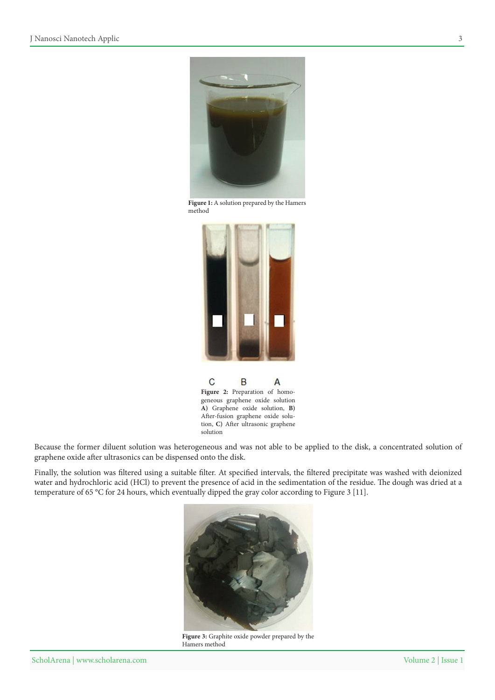

Figure 1: A solution prepared by the Hamers method





Because the former diluent solution was heterogeneous and was not able to be applied to the disk, a concentrated solution of graphene oxide after ultrasonics can be dispensed onto the disk.

Finally, the solution was filtered using a suitable filter. At specified intervals, the filtered precipitate was washed with deionized water and hydrochloric acid (HCl) to prevent the presence of acid in the sedimentation of the residue. The dough was dried at a temperature of 65 °C for 24 hours, which eventually dipped the gray color according to Figure 3 [11].



Figure 3: Graphite oxide powder prepared by the Hamers method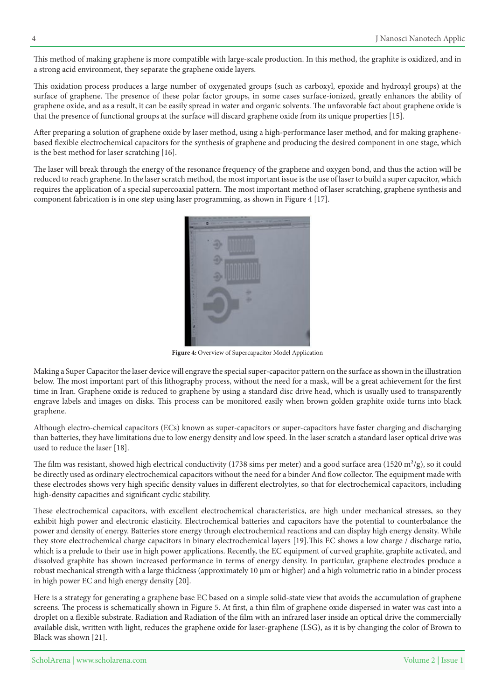This method of making graphene is more compatible with large-scale production. In this method, the graphite is oxidized, and in a strong acid environment, they separate the graphene oxide layers.

This oxidation process produces a large number of oxygenated groups (such as carboxyl, epoxide and hydroxyl groups) at the surface of graphene. The presence of these polar factor groups, in some cases surface-ionized, greatly enhances the ability of graphene oxide, and as a result, it can be easily spread in water and organic solvents. The unfavorable fact about graphene oxide is that the presence of functional groups at the surface will discard graphene oxide from its unique properties [15].

based flexible electrochemical capacitors for the synthesis of graphene and producing the desired component in one stage, which After preparing a solution of graphene oxide by laser method, using a high-performance laser method, and for making grapheneis the best method for laser scratching  $[16]$ .

The laser will break through the energy of the resonance frequency of the graphene and oxygen bond, and thus the action will be reduced to reach graphene. In the laser scratch method, the most important issue is the use of laser to build a super capacitor, which requires the application of a special supercoaxial pattern. The most important method of laser scratching, graphene synthesis and component fabrication is in one step using laser programming, as shown in Figure 4 [17].



Figure 4: Overview of Supercapacitor Model Application

Making a Super Capacitor the laser device will engrave the special super-capacitor pattern on the surface as shown in the illustration below. The most important part of this lithography process, without the need for a mask, will be a great achievement for the first time in Iran. Graphene oxide is reduced to graphene by using a standard disc drive head, which is usually used to transparently engrave labels and images on disks. This process can be monitored easily when brown golden graphite oxide turns into black .graphene

Although electro-chemical capacitors (ECs) known as super-capacitors or super-capacitors have faster charging and discharging than batteries, they have limitations due to low energy density and low speed. In the laser scratch a standard laser optical drive was used to reduce the laser [18].

The film was resistant, showed high electrical conductivity (1738 sims per meter) and a good surface area (1520  $\frac{m^2}{g}$ ), so it could be directly used as ordinary electrochemical capacitors without the need for a binder And flow collector. The equipment made with these electrodes shows very high specific density values in different electrolytes, so that for electrochemical capacitors, including high-density capacities and significant cyclic stability.

These electrochemical capacitors, with excellent electrochemical characteristics, are high under mechanical stresses, so they exhibit high power and electronic elasticity. Electrochemical batteries and capacitors have the potential to counterbalance the power and density of energy. Batteries store energy through electrochemical reactions and can display high energy density. While they store electrochemical charge capacitors in binary electrochemical layers [19]. This EC shows a low charge / discharge ratio, which is a prelude to their use in high power applications. Recently, the EC equipment of curved graphite, graphite activated, and dissolved graphite has shown increased performance in terms of energy density. In particular, graphene electrodes produce a robust mechanical strength with a large thickness (approximately 10 μm or higher) and a high volumetric ratio in a binder process in high power EC and high energy density [20].

Here is a strategy for generating a graphene base EC based on a simple solid-state view that avoids the accumulation of graphene screens. The process is schematically shown in Figure 5. At first, a thin film of graphene oxide dispersed in water was cast into a droplet on a flexible substrate. Radiation and Radiation of the film with an infrared laser inside an optical drive the commercially available disk, written with light, reduces the graphene oxide for laser-graphene (LSG), as it is by changing the color of Brown to Black was shown [21].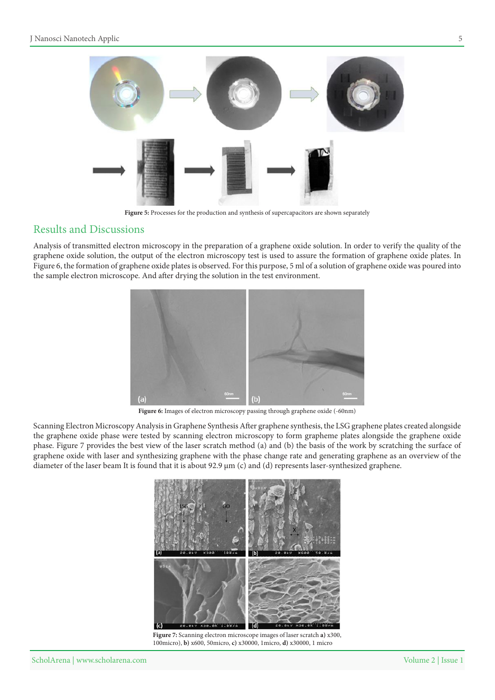

Figure 5: Processes for the production and synthesis of supercapacitors are shown separately

### **Results and Discussions**

Analysis of transmitted electron microscopy in the preparation of a graphene oxide solution. In order to verify the quality of the graphene oxide solution, the output of the electron microscopy test is used to assure the formation of graphene oxide plates. In Figure 6, the formation of graphene oxide plates is observed. For this purpose, 5 ml of a solution of graphene oxide was poured into the sample electron microscope. And after drying the solution in the test environment.



Figure 6: Images of electron microscopy passing through graphene oxide (-60nm)

Scanning Electron Microscopy Analysis in Graphene Synthesis After graphene synthesis, the LSG graphene plates created alongside the graphene oxide phase were tested by scanning electron microscopy to form grapheme plates alongside the graphene oxide phase. Figure 7 provides the best view of the laser scratch method (a) and (b) the basis of the work by scratching the surface of graphene oxide with laser and synthesizing graphene with the phase change rate and generating graphene as an overview of the diameter of the laser beam It is found that it is about 92.9 µm (c) and (d) represents laser-synthesized graphene.



Figure 7: Scanning electron microscope images of laser scratch a) x300, 100micro), **b**)  $x600$ , 50micro, **c**)  $x30000$ , 1micro, **d**)  $x30000$ , 1 micro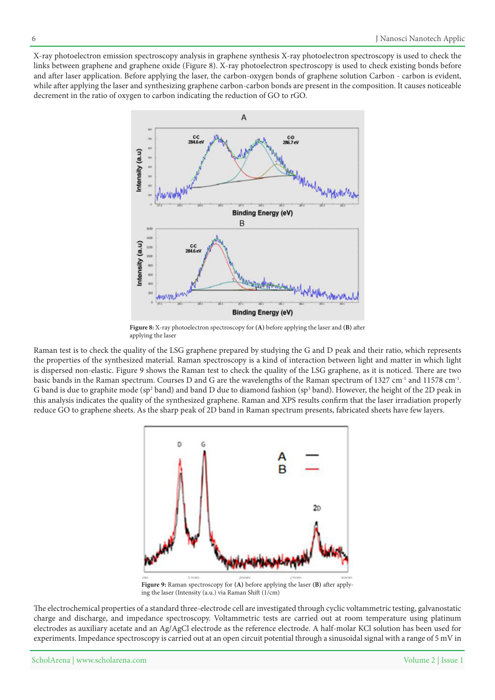X-ray photoelectron emission spectroscopy analysis in graphene synthesis X-ray photoelectron spectroscopy is used to check the links between graphene and graphene oxide (Figure 8). X-ray photoelectron spectroscopy is used to check existing bonds before and after laser application. Before applying the laser, the carbon-oxygen bonds of graphene solution Carbon - carbon is evident, while after applying the laser and synthesizing graphene carbon-carbon bonds are present in the composition. It causes noticeable decrement in the ratio of oxygen to carbon indicating the reduction of GO to rGO.



Figure 8: X-ray photoelectron spectroscopy for (A) before applying the laser and (B) after applying the laser

Raman test is to check the quality of the LSG graphene prepared by studying the G and D peak and their ratio, which represents the properties of the synthesized material. Raman spectroscopy is a kind of interaction between light and matter in which light is dispersed non-elastic. Figure 9 shows the Raman test to check the quality of the LSG graphene, as it is noticed. There are two basic bands in the Raman spectrum. Courses D and G are the wavelengths of the Raman spectrum of 1327 cm<sup>-1</sup> and 11578 cm<sup>-1</sup>. G band is due to graphite mode (sp<sup>2</sup> band) and band D due to diamond fashion (sp<sup>3</sup> band). However, the height of the 2D peak in this analysis indicates the quality of the synthesized graphene. Raman and XPS results confirm that the laser irradiation properly reduce GO to graphene sheets. As the sharp peak of 2D band in Raman spectrum presents, fabricated sheets have few layers.



**Figure 9:** Raman spectroscopy for (A) before applying the laser (B) after applying the laser (Intensity (a.u.) via Raman Shift (1/cm)

The electrochemical properties of a standard three-electrode cell are investigated through cyclic voltammetric testing, galvanostatic charge and discharge, and impedance spectroscopy. Voltammetric tests are carried out at room temperature using platinum electrodes as auxiliary acetate and an Ag/AgCl electrode as the reference electrode. A half-molar KCl solution has been used for experiments. Impedance spectroscopy is carried out at an open circuit potential through a sinusoidal signal with a range of 5 mV in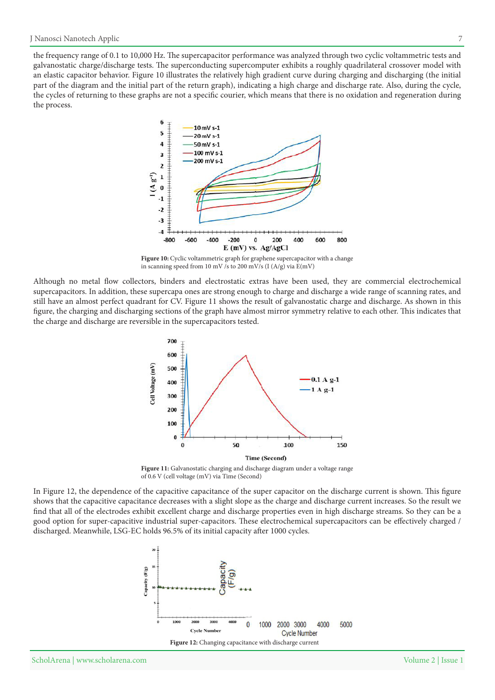the frequency range of 0.1 to 10,000 Hz. The supercapacitor performance was analyzed through two cyclic voltammetric tests and galvanostatic charge/discharge tests. The superconducting supercomputer exhibits a roughly quadrilateral crossover model with an elastic capacitor behavior. Figure 10 illustrates the relatively high gradient curve during charging and discharging (the initial part of the diagram and the initial part of the return graph), indicating a high charge and discharge rate. Also, during the cycle, the cycles of returning to these graphs are not a specific courier, which means that there is no oxidation and regeneration during the process.



Figure 10: Cyclic voltammetric graph for graphene supercapacitor with a change in scanning speed from 10 mV /s to 200 mV/s (I (A/g) via  $E(mV)$ 

Although no metal flow collectors, binders and electrostatic extras have been used, they are commercial electrochemical supercapacitors. In addition, these supercapa ones are strong enough to charge and discharge a wide range of scanning rates, and still have an almost perfect quadrant for CV. Figure 11 shows the result of galvanostatic charge and discharge. As shown in this figure, the charging and discharging sections of the graph have almost mirror symmetry relative to each other. This indicates that the charge and discharge are reversible in the supercapacitors tested.



Figure 11: Galvanostatic charging and discharge diagram under a voltage range of 0.6 V (cell voltage (mV) via Time (Second)

In Figure 12, the dependence of the capacitive capacitance of the super capacitor on the discharge current is shown. This figure shows that the capacitive capacitance decreases with a slight slope as the charge and discharge current increases. So the result we find that all of the electrodes exhibit excellent charge and discharge properties even in high discharge streams. So they can be a good option for super-capacitive industrial super-capacitors. These electrochemical supercapacitors can be effectively charged / discharged. Meanwhile, LSG-EC holds 96.5% of its initial capacity after 1000 cycles.